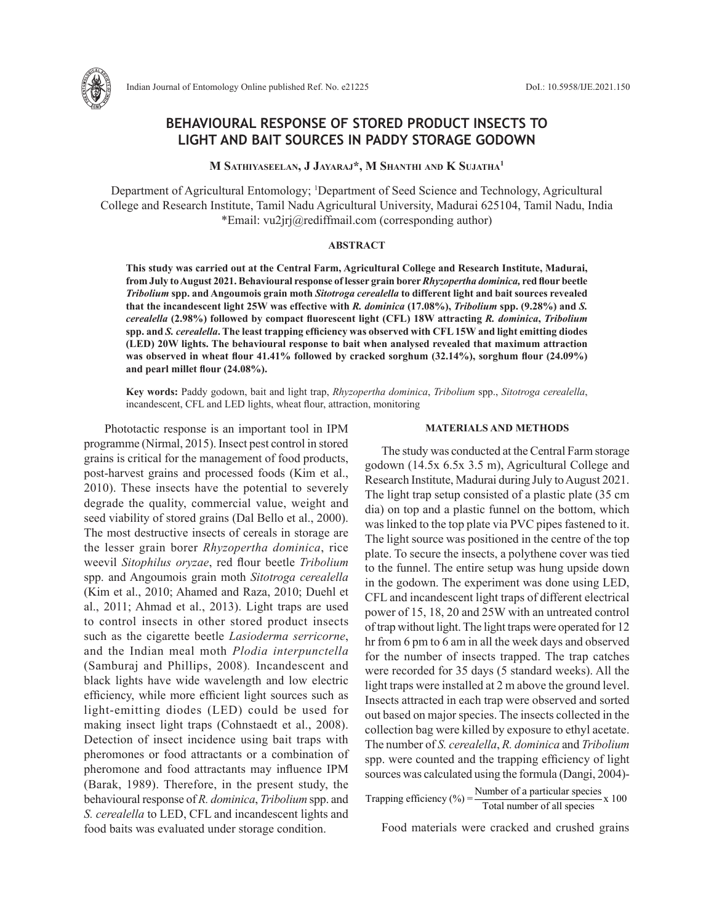

# **BEHAVIOURAL RESPONSE OF STORED PRODUCT INSECTS TO LIGHT AND BAIT SOURCES IN PADDY STORAGE GODOWN**

**M Sathiyaseelan, J Jayaraj\*, M Shanthi and K Sujatha1**

Department of Agricultural Entomology; 1 Department of Seed Science and Technology, Agricultural College and Research Institute, Tamil Nadu Agricultural University, Madurai 625104, Tamil Nadu, India \*Email: vu2jrj@rediffmail.com (corresponding author)

#### **ABSTRACT**

**This study was carried out at the Central Farm, Agricultural College and Research Institute, Madurai, from July to August 2021. Behavioural response of lesser grain borer** *Rhyzopertha dominica,* **red flour beetle**  *Tribolium* **spp. and Angoumois grain moth** *Sitotroga cerealella* **to different light and bait sources revealed that the incandescent light 25W was effective with** *R. dominica* **(17.08%),** *Tribolium* **spp. (9.28%) and** *S. cerealella* **(2.98%) followed by compact fluorescent light (CFL) 18W attracting** *R. dominica***,** *Tribolium* **spp. and** *S. cerealella***. The least trapping efficiency was observed with CFL 15W and light emitting diodes (LED) 20W lights. The behavioural response to bait when analysed revealed that maximum attraction was observed in wheat flour 41.41% followed by cracked sorghum (32.14%), sorghum flour (24.09%) and pearl millet flour (24.08%).** 

**Key words:** Paddy godown, bait and light trap, *Rhyzopertha dominica*, *Tribolium* spp., *Sitotroga cerealella*, incandescent, CFL and LED lights, wheat flour, attraction, monitoring

Phototactic response is an important tool in IPM programme (Nirmal, 2015). Insect pest control in stored grains is critical for the management of food products, post-harvest grains and processed foods (Kim et al., 2010). These insects have the potential to severely degrade the quality, commercial value, weight and seed viability of stored grains (Dal Bello et al., 2000). The most destructive insects of cereals in storage are the lesser grain borer *Rhyzopertha dominica*, rice weevil *Sitophilus oryzae*, red flour beetle *Tribolium* spp. and Angoumois grain moth *Sitotroga cerealella* (Kim et al., 2010; Ahamed and Raza, 2010; Duehl et al., 2011; Ahmad et al., 2013). Light traps are used to control insects in other stored product insects such as the cigarette beetle *Lasioderma serricorne*, and the Indian meal moth *Plodia interpunctella* (Samburaj and Phillips, 2008)*.* Incandescent and black lights have wide wavelength and low electric efficiency, while more efficient light sources such as light-emitting diodes (LED) could be used for making insect light traps (Cohnstaedt et al., 2008). Detection of insect incidence using bait traps with pheromones or food attractants or a combination of pheromone and food attractants may influence IPM (Barak, 1989). Therefore, in the present study, the behavioural response of *R. dominica*, *Tribolium* spp. and *S. cerealella* to LED, CFL and incandescent lights and food baits was evaluated under storage condition.

### **MATERIALS AND METHODS**

The study was conducted at the Central Farm storage godown (14.5x 6.5x 3.5 m), Agricultural College and Research Institute, Madurai during July to August 2021. The light trap setup consisted of a plastic plate (35 cm dia) on top and a plastic funnel on the bottom, which was linked to the top plate via PVC pipes fastened to it. The light source was positioned in the centre of the top plate. To secure the insects, a polythene cover was tied to the funnel. The entire setup was hung upside down in the godown. The experiment was done using LED, CFL and incandescent light traps of different electrical power of 15, 18, 20 and 25W with an untreated control of trap without light. The light traps were operated for 12 hr from 6 pm to 6 am in all the week days and observed for the number of insects trapped. The trap catches were recorded for 35 days (5 standard weeks). All the light traps were installed at 2 m above the ground level. Insects attracted in each trap were observed and sorted out based on major species. The insects collected in the collection bag were killed by exposure to ethyl acetate. The number of *S. cerealella*, *R. dominica* and *Tribolium* spp. were counted and the trapping efficiency of light sources was calculated using the formula (Dangi, 2004)-

Trapping efficiency  $(\%) = \frac{\text{Number of a particular species}}{\text{Total number of all species}} \times 100$ 

Food materials were cracked and crushed grains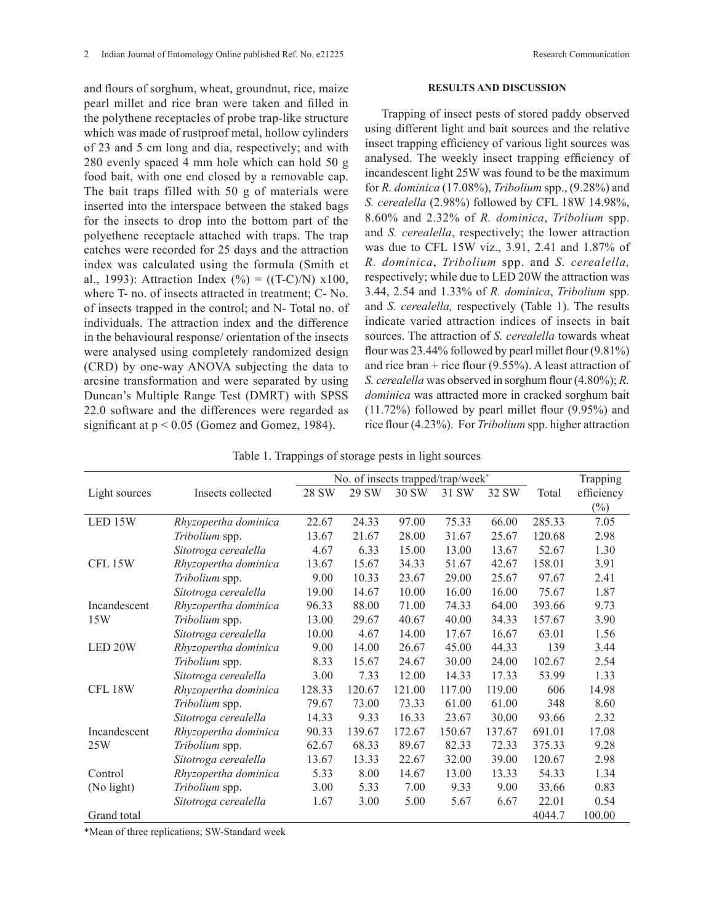and flours of sorghum, wheat, groundnut, rice, maize pearl millet and rice bran were taken and filled in the polythene receptacles of probe trap-like structure which was made of rustproof metal, hollow cylinders of 23 and 5 cm long and dia, respectively; and with 280 evenly spaced 4 mm hole which can hold 50 g food bait, with one end closed by a removable cap. The bait traps filled with 50 g of materials were inserted into the interspace between the staked bags for the insects to drop into the bottom part of the polyethene receptacle attached with traps. The trap catches were recorded for 25 days and the attraction index was calculated using the formula (Smith et al., 1993): Attraction Index  $(\%)=(T-C)/N)$  x100, where T- no. of insects attracted in treatment; C- No. of insects trapped in the control; and N- Total no. of individuals. The attraction index and the difference in the behavioural response/ orientation of the insects were analysed using completely randomized design (CRD) by one-way ANOVA subjecting the data to arcsine transformation and were separated by using Duncan's Multiple Range Test (DMRT) with SPSS 22.0 software and the differences were regarded as significant at  $p < 0.05$  (Gomez and Gomez, 1984).

#### **RESULTS AND DISCUSSION**

Trapping of insect pests of stored paddy observed using different light and bait sources and the relative insect trapping efficiency of various light sources was analysed. The weekly insect trapping efficiency of incandescent light 25W was found to be the maximum for *R. dominica* (17.08%), *Tribolium* spp., (9.28%) and *S. cerealella* (2.98%) followed by CFL 18W 14.98%, 8.60% and 2.32% of *R. dominica*, *Tribolium* spp. and *S. cerealella*, respectively; the lower attraction was due to CFL 15W viz., 3.91, 2.41 and 1.87% of *R. dominica*, *Tribolium* spp. and *S. cerealella,* respectively; while due to LED 20W the attraction was 3.44, 2.54 and 1.33% of *R. dominica*, *Tribolium* spp. and *S. cerealella,* respectively (Table 1). The results indicate varied attraction indices of insects in bait sources. The attraction of *S. cerealella* towards wheat flour was 23.44% followed by pearl millet flour (9.81%) and rice bran + rice flour (9.55%). A least attraction of *S. cerealella* was observed in sorghum flour (4.80%); *R. dominica* was attracted more in cracked sorghum bait (11.72%) followed by pearl millet flour (9.95%) and rice flour (4.23%). For *Tribolium* spp. higher attraction

Table 1. Trappings of storage pests in light sources

|               |                      | No. of insects trapped/trap/week* | Trapping |        |        |        |        |            |
|---------------|----------------------|-----------------------------------|----------|--------|--------|--------|--------|------------|
| Light sources | Insects collected    | 28 SW                             | 29 SW    | 30 SW  | 31 SW  | 32 SW  | Total  | efficiency |
|               |                      |                                   |          |        |        |        |        | $(\%)$     |
| LED 15W       | Rhyzopertha dominica | 22.67                             | 24.33    | 97.00  | 75.33  | 66.00  | 285.33 | 7.05       |
|               | Tribolium spp.       | 13.67                             | 21.67    | 28.00  | 31.67  | 25.67  | 120.68 | 2.98       |
|               | Sitotroga cerealella | 4.67                              | 6.33     | 15.00  | 13.00  | 13.67  | 52.67  | 1.30       |
| CFL 15W       | Rhyzopertha dominica | 13.67                             | 15.67    | 34.33  | 51.67  | 42.67  | 158.01 | 3.91       |
|               | Tribolium spp.       | 9.00                              | 10.33    | 23.67  | 29.00  | 25.67  | 97.67  | 2.41       |
|               | Sitotroga cerealella | 19.00                             | 14.67    | 10.00  | 16.00  | 16.00  | 75.67  | 1.87       |
| Incandescent  | Rhyzopertha dominica | 96.33                             | 88.00    | 71.00  | 74.33  | 64.00  | 393.66 | 9.73       |
| 15W           | Tribolium spp.       | 13.00                             | 29.67    | 40.67  | 40.00  | 34.33  | 157.67 | 3.90       |
|               | Sitotroga cerealella | 10.00                             | 4.67     | 14.00  | 17.67  | 16.67  | 63.01  | 1.56       |
| LED 20W       | Rhyzopertha dominica | 9.00                              | 14.00    | 26.67  | 45.00  | 44.33  | 139    | 3.44       |
|               | Tribolium spp.       | 8.33                              | 15.67    | 24.67  | 30.00  | 24.00  | 102.67 | 2.54       |
|               | Sitotroga cerealella | 3.00                              | 7.33     | 12.00  | 14.33  | 17.33  | 53.99  | 1.33       |
| CFL 18W       | Rhyzopertha dominica | 128.33                            | 120.67   | 121.00 | 117.00 | 119.00 | 606    | 14.98      |
|               | Tribolium spp.       | 79.67                             | 73.00    | 73.33  | 61.00  | 61.00  | 348    | 8.60       |
|               | Sitotroga cerealella | 14.33                             | 9.33     | 16.33  | 23.67  | 30.00  | 93.66  | 2.32       |
| Incandescent  | Rhyzopertha dominica | 90.33                             | 139.67   | 172.67 | 150.67 | 137.67 | 691.01 | 17.08      |
| 25W           | Tribolium spp.       | 62.67                             | 68.33    | 89.67  | 82.33  | 72.33  | 375.33 | 9.28       |
|               | Sitotroga cerealella | 13.67                             | 13.33    | 22.67  | 32.00  | 39.00  | 120.67 | 2.98       |
| Control       | Rhyzopertha dominica | 5.33                              | 8.00     | 14.67  | 13.00  | 13.33  | 54.33  | 1.34       |
| (No light)    | Tribolium spp.       | 3.00                              | 5.33     | 7.00   | 9.33   | 9.00   | 33.66  | 0.83       |
|               | Sitotroga cerealella | 1.67                              | 3.00     | 5.00   | 5.67   | 6.67   | 22.01  | 0.54       |
| Grand total   |                      |                                   |          |        |        |        | 4044.7 | 100.00     |

\*Mean of three replications; SW-Standard week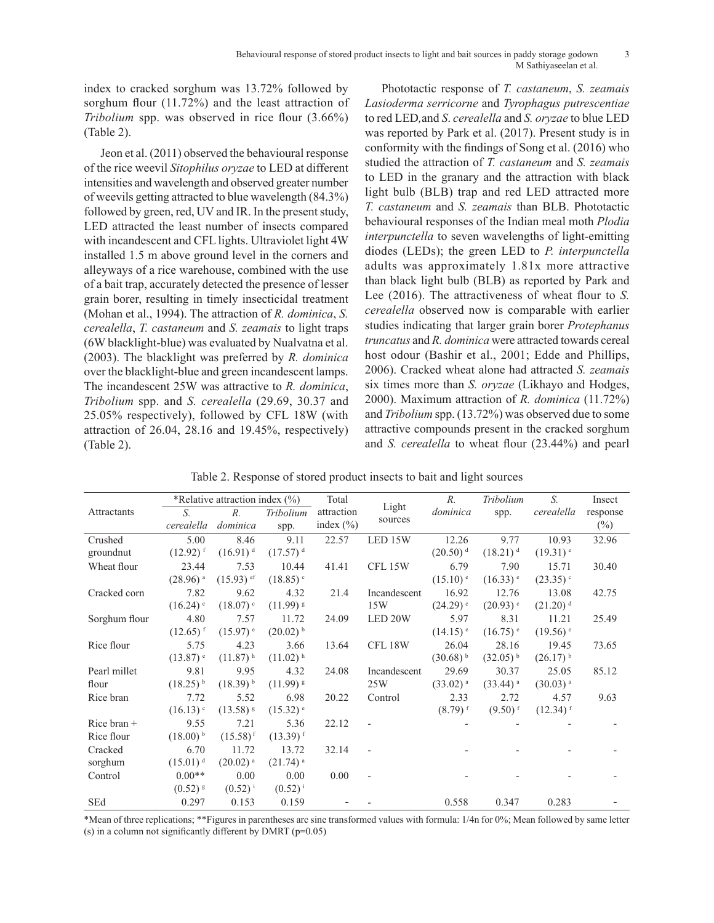index to cracked sorghum was 13.72% followed by sorghum flour (11.72%) and the least attraction of *Tribolium* spp. was observed in rice flour (3.66%) (Table 2).

Jeon et al. (2011) observed the behavioural response of the rice weevil *Sitophilus oryzae* to LED at different intensities and wavelength and observed greater number of weevils getting attracted to blue wavelength (84.3%) followed by green, red, UV and IR. In the present study, LED attracted the least number of insects compared with incandescent and CFL lights. Ultraviolet light 4W installed 1.5 m above ground level in the corners and alleyways of a rice warehouse, combined with the use of a bait trap, accurately detected the presence of lesser grain borer, resulting in timely insecticidal treatment (Mohan et al., 1994). The attraction of *R. dominica*, *S. cerealella*, *T. castaneum* and *S. zeamais* to light traps (6W blacklight-blue) was evaluated by Nualvatna et al. (2003). The blacklight was preferred by *R. dominica* over the blacklight-blue and green incandescent lamps. The incandescent 25W was attractive to *R. dominica*, *Tribolium* spp. and *S. cerealella* (29.69, 30.37 and 25.05% respectively), followed by CFL 18W (with attraction of 26.04, 28.16 and 19.45%, respectively) (Table 2).

Phototactic response of *T. castaneum*, *S. zeamais Lasioderma serricorne* and *Tyrophagus putrescentiae* to red LED*,*and *S*. *cerealella* and *S. oryzae* to blue LED was reported by Park et al. (2017). Present study is in conformity with the findings of Song et al. (2016) who studied the attraction of *T. castaneum* and *S. zeamais* to LED in the granary and the attraction with black light bulb (BLB) trap and red LED attracted more *T. castaneum* and *S. zeamais* than BLB. Phototactic behavioural responses of the Indian meal moth *Plodia interpunctella* to seven wavelengths of light-emitting diodes (LEDs); the green LED to *P. interpunctella* adults was approximately 1.81x more attractive than black light bulb (BLB) as reported by Park and Lee (2016). The attractiveness of wheat flour to *S. cerealella* observed now is comparable with earlier studies indicating that larger grain borer *Protephanus truncatus* and *R. dominica* were attracted towards cereal host odour (Bashir et al., 2001; Edde and Phillips, 2006). Cracked wheat alone had attracted *S. zeamais*  six times more than *S. oryzae* (Likhayo and Hodges, 2000). Maximum attraction of *R. dominica* (11.72%) and *Tribolium* spp. (13.72%) was observed due to some attractive compounds present in the cracked sorghum and *S. cerealella* to wheat flour (23.44%) and pearl

|               | *Relative attraction index (%) |                        | Total                  |               | $R_{\cdot}$  | Tribolium              | S.                     | Insect                 |          |
|---------------|--------------------------------|------------------------|------------------------|---------------|--------------|------------------------|------------------------|------------------------|----------|
| Attractants   | S.                             | $R_{\cdot}$            | Tribolium              | attraction    | Light        | dominica               | spp.                   | cerealella             | response |
|               | cerealella                     | dominica               | spp.                   | index $(\% )$ | sources      |                        |                        |                        | $(\%)$   |
| Crushed       | 5.00                           | 8.46                   | 9.11                   | 22.57         | LED 15W      | 12.26                  | 9.77                   | 10.93                  | 32.96    |
| groundnut     | $(12.92)$ <sup>f</sup>         | $(16.91)^d$            | $(17.57)^{d}$          |               |              | $(20.50)^d$            | $(18.21)$ <sup>d</sup> | $(19.31)$ <sup>e</sup> |          |
| Wheat flour   | 23.44                          | 7.53                   | 10.44                  | 41.41         | CFL 15W      | 6.79                   | 7.90                   | 15.71                  | 30.40    |
|               | $(28.96)$ <sup>a</sup>         | $(15.93)$ ef           | $(18.85)$ <sup>c</sup> |               |              | $(15.10)$ <sup>e</sup> | $(16.33)$ <sup>e</sup> | $(23.35)$ °            |          |
| Cracked corn  | 7.82                           | 9.62                   | 4.32                   | 21.4          | Incandescent | 16.92                  | 12.76                  | 13.08                  | 42.75    |
|               | $(16.24)$ <sup>c</sup>         | $(18.07)$ °            | $(11.99)^{8}$          |               | 15W          | (24.29)                | $(20.93)$ <sup>c</sup> | $(21.20)^d$            |          |
| Sorghum flour | 4.80                           | 7.57                   | 11.72                  | 24.09         | LED 20W      | 5.97                   | 8.31                   | 11.21                  | 25.49    |
|               | $(12.65)$ <sup>f</sup>         | $(15.97)$ <sup>e</sup> | $(20.02)^{b}$          |               |              | $(14.15)$ <sup>e</sup> | $(16.75)$ <sup>e</sup> | $(19.56)$ <sup>e</sup> |          |
| Rice flour    | 5.75                           | 4.23                   | 3.66                   | 13.64         | CFL 18W      | 26.04                  | 28.16                  | 19.45                  | 73.65    |
|               | $(13.87)$ <sup>e</sup>         | $(11.87)$ <sup>h</sup> | $(11.02)^h$            |               |              | $(30.68)^{b}$          | $(32.05)^{b}$          | $(26.17)^{b}$          |          |
| Pearl millet  | 9.81                           | 9.95                   | 4.32                   | 24.08         | Incandescent | 29.69                  | 30.37                  | 25.05                  | 85.12    |
| flour         | $(18.25)^{b}$                  | $(18.39)^{b}$          | $(11.99)^{8}$          |               | 25W          | $(33.02)^{a}$          | $(33.44)$ <sup>a</sup> | $(30.03)^{a}$          |          |
| Rice bran     | 7.72                           | 5.52                   | 6.98                   | 20.22         | Control      | 2.33                   | 2.72                   | 4.57                   | 9.63     |
|               | $(16.13)$ <sup>c</sup>         | $(13.58)^{8}$          | $(15.32)$ <sup>e</sup> |               |              | $(8.79)$ <sup>f</sup>  | $(9.50)$ <sup>f</sup>  | $(12.34)$ <sup>f</sup> |          |
| Rice bran $+$ | 9.55                           | 7.21                   | 5.36                   | 22.12         |              |                        |                        |                        |          |
| Rice flour    | $(18.00)^{b}$                  | $(15.58)$ <sup>f</sup> | $(13.39)$ <sup>f</sup> |               |              |                        |                        |                        |          |
| Cracked       | 6.70                           | 11.72                  | 13.72                  | 32.14         |              |                        |                        |                        |          |
| sorghum       | $(15.01)^d$                    | $(20.02)^{a}$          | $(21.74)$ <sup>a</sup> |               |              |                        |                        |                        |          |
| Control       | $0.00**$                       | 0.00                   | 0.00                   | 0.00          |              |                        |                        |                        |          |
|               | $(0.52)$ <sup>g</sup>          | $(0.52)^{i}$           | $(0.52)^{i}$           |               |              |                        |                        |                        |          |
| SEd           | 0.297                          | 0.153                  | 0.159                  |               |              | 0.558                  | 0.347                  | 0.283                  |          |

Table 2. Response of stored product insects to bait and light sources

\*Mean of three replications; \*\*Figures in parentheses arc sine transformed values with formula: 1/4n for 0%; Mean followed by same letter (s) in a column not significantly different by DMRT (p=0.05)